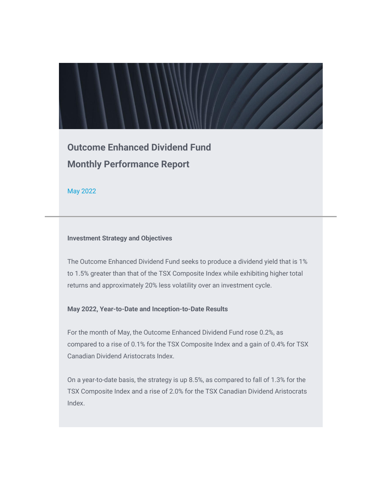**Outcome Enhanced Dividend Fund Monthly Performance Report**

May 2022

#### **Investment Strategy and Objectives**

The Outcome Enhanced Dividend Fund seeks to produce a dividend yield that is 1% to 1.5% greater than that of the TSX Composite Index while exhibiting higher total returns and approximately 20% less volatility over an investment cycle.

## **May 2022, Year-to-Date and Inception-to-Date Results**

For the month of May, the Outcome Enhanced Dividend Fund rose 0.2%, as compared to a rise of 0.1% for the TSX Composite Index and a gain of 0.4% for TSX Canadian Dividend Aristocrats Index.

On a year-to-date basis, the strategy is up 8.5%, as compared to fall of 1.3% for the TSX Composite Index and a rise of 2.0% for the TSX Canadian Dividend Aristocrats Index.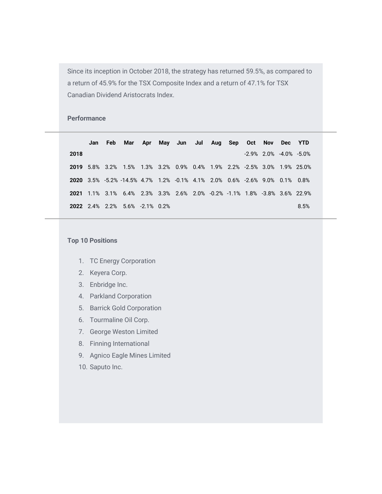Since its inception in October 2018, the strategy has returned 59.5%, as compared to a return of 45.9% for the TSX Composite Index and a return of 47.1% for TSX Canadian Dividend Aristocrats Index.

### **Performance**

|      | Jan | Feb Mar Apr May Jun Jul Aug Sep Oct Nov Dec YTD                            |  |  |  |                                 |      |
|------|-----|----------------------------------------------------------------------------|--|--|--|---------------------------------|------|
| 2018 |     |                                                                            |  |  |  | $-2.9\%$ 2.0% $-4.0\%$ $-5.0\%$ |      |
|      |     | 2019 5.8% 3.2% 1.5% 1.3% 3.2% 0.9% 0.4% 1.9% 2.2% -2.5% 3.0% 1.9% 25.0%    |  |  |  |                                 |      |
|      |     | 2020 3.5% -5.2% -14.5% 4.7% 1.2% -0.1% 4.1% 2.0% 0.6% -2.6% 9.0% 0.1% 0.8% |  |  |  |                                 |      |
|      |     | 2021 1.1% 3.1% 6.4% 2.3% 3.3% 2.6% 2.0% -0.2% -1.1% 1.8% -3.8% 3.6% 22.9%  |  |  |  |                                 |      |
|      |     | <b>2022</b> 2.4% 2.2% 5.6% -2.1% 0.2%                                      |  |  |  |                                 | 8.5% |

#### **Top 10 Positions**

- 1. TC Energy Corporation
- 2. Keyera Corp.
- 3. Enbridge Inc.
- 4. Parkland Corporation
- 5. Barrick Gold Corporation
- 6. Tourmaline Oil Corp.
- 7. George Weston Limited
- 8. Finning International
- 9. Agnico Eagle Mines Limited
- 10. Saputo Inc.